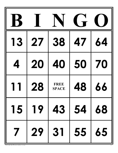|                     |    |                             | $\overline{\phantom{a}}$ |    |
|---------------------|----|-----------------------------|--------------------------|----|
| <b>13</b>           | 27 | 38                          | 47                       | 64 |
|                     | 20 | 40                          | 50                       | 70 |
|                     | 28 | <b>FREE</b><br><b>SPACE</b> | 48                       | 66 |
| $151$               | 19 |                             | 43   54   68             |    |
| $\overline{\prime}$ | 29 | 31                          | 55 65                    |    |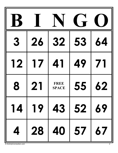| 3  | 26 | 32                          | 53 | 64        |
|----|----|-----------------------------|----|-----------|
| 12 | 17 | 41                          | 49 |           |
| 8  | 21 | <b>FREE</b><br><b>SPACE</b> | 55 | <b>62</b> |
|    |    | 14 19 43 52 69              |    |           |
|    |    | 4 28 40 57 67               |    |           |

© ActivityConnection.com 2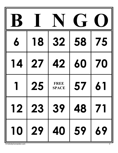| 6  | 18      | 32                          | 58    | 75 |
|----|---------|-----------------------------|-------|----|
| 14 | 27      | 42                          | 60    | 70 |
|    | 25      | <b>FREE</b><br><b>SPACE</b> | 57    |    |
|    |         | 12 23 39 48 71              |       |    |
|    | 10   29 |                             | 40 59 | 69 |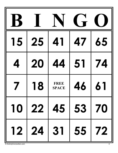| <b>15</b> | 25 | 4                           | 47 | 65 |
|-----------|----|-----------------------------|----|----|
|           | 20 | 44                          | 51 | 74 |
|           | 18 | <b>FREE</b><br><b>SPACE</b> | 46 |    |
|           |    | 10   22   45   53   70      |    |    |
|           |    | 12 24 31 55 72              |    |    |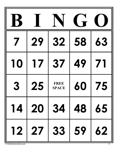|    | 29 | <b>32</b>                   | 58 | 63 |
|----|----|-----------------------------|----|----|
| 10 | 17 | 37                          | 49 |    |
| 3  | 25 | <b>FREE</b><br><b>SPACE</b> | 60 | 75 |
|    |    | 14 20 34 48 65              |    |    |
|    |    | 12 27 33 59                 |    | 62 |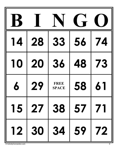| 14 | 28 | 33                          | 56 | 74        |
|----|----|-----------------------------|----|-----------|
| 10 | 20 | 36                          | 48 | <b>73</b> |
|    | 29 | <b>FREE</b><br><b>SPACE</b> | 58 | 6         |
|    |    | 15   27   38   57   71      |    |           |
|    |    | 12 30 34 59 72              |    |           |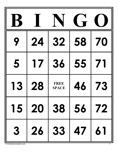|           | 24 | <b>32</b>                   | 58 | 70        |
|-----------|----|-----------------------------|----|-----------|
| 5         | 17 | 36                          | 55 |           |
| <b>13</b> | 28 | <b>FREE</b><br><b>SPACE</b> | 46 | <b>73</b> |
|           |    | 15 20 38 56 72              |    |           |
| 3         |    | 26 33 47 61                 |    |           |

© ActivityConnection.com 7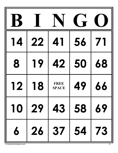|    |         |                             | $\overline{\phantom{a}}$ |    |
|----|---------|-----------------------------|--------------------------|----|
| 14 | 22      | 41                          | 56                       |    |
| 8  | 19      | 42                          | 50                       | 68 |
| 12 | 18      | <b>FREE</b><br><b>SPACE</b> | 49                       | 66 |
|    | 10   29 |                             | 43 58                    | 69 |
| 6  | 26      |                             | 37   54   73             |    |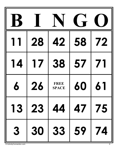|    |    |                             | $\overline{\phantom{a}}$ |    |
|----|----|-----------------------------|--------------------------|----|
|    | 28 | 42                          | 58                       | 72 |
| 14 | 17 | 38                          | 57                       |    |
|    | 26 | <b>FREE</b><br><b>SPACE</b> | 60                       | 61 |
|    |    | 13   23   44   47   75      |                          |    |
| 3  | 30 | $33   59$                   |                          | 74 |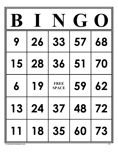|    | 26 | 33                          | 57 | 68 |
|----|----|-----------------------------|----|----|
| 15 | 28 | 36                          | 51 | 70 |
|    | 19 | <b>FREE</b><br><b>SPACE</b> | 59 | 62 |
|    |    | 13 24 37 48 72              |    |    |
| 11 |    | 18 35 60 73                 |    |    |

© ActivityConnection.com 10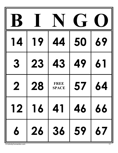| <b>14</b> | 19 | 44                   | 50 | 69 |
|-----------|----|----------------------|----|----|
| 3         | 23 | <b>43</b>            | 49 |    |
| 2         | 28 | FREE<br><b>SPACE</b> | 57 | 64 |
|           |    | 12 16 41 46 66       |    |    |
|           |    | 6 26 36 59 67        |    |    |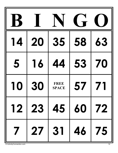|                         |    |                             | $\blacksquare$ |    |
|-------------------------|----|-----------------------------|----------------|----|
| 14                      | 20 | 35                          | 58             | 63 |
| 5                       | 16 | 44                          | 53             | 70 |
| 10                      | 30 | <b>FREE</b><br><b>SPACE</b> | 57             |    |
|                         |    | 12 23 45 60 72              |                |    |
| $\overline{\mathbf{7}}$ |    | 27 31 46 75                 |                |    |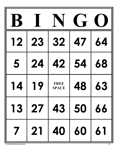| 12             | 23 | 32                          | 47 | 64 |
|----------------|----|-----------------------------|----|----|
| 5              | 24 | 42                          | 54 | 68 |
|                | 19 | <b>FREE</b><br><b>SPACE</b> | 48 | 63 |
|                |    | 13 27 43 50 66              |    |    |
| $\overline{7}$ |    | 21 40 60 61                 |    |    |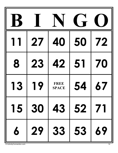|           |    |                             | $\overrightarrow{r}$ |           |
|-----------|----|-----------------------------|----------------------|-----------|
|           | 27 | 40                          | 50                   | 72        |
| 8         | 23 | 42                          | 51                   | 70        |
| <b>13</b> | 19 | <b>FREE</b><br><b>SPACE</b> | 54                   | <b>67</b> |
| 15        | 30 | 43 52                       |                      | 71        |
| 6         | 29 | 33 53                       |                      | 69        |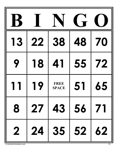| <b>13</b>               | 22          | 38                          | 48 | 70 |
|-------------------------|-------------|-----------------------------|----|----|
| 9                       | 18          | 41                          | 55 | 72 |
|                         | 19          | <b>FREE</b><br><b>SPACE</b> | 51 | 65 |
| 8                       | 27 43 56 71 |                             |    |    |
| $\overline{\mathbf{2}}$ |             | 24 35 52 62                 |    |    |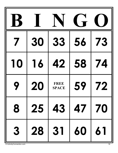|    |    |                             | $\blacksquare$ |           |
|----|----|-----------------------------|----------------|-----------|
|    | 30 | 33                          | 56             | <b>73</b> |
| 10 | 16 | 42                          | 58             | 74        |
|    | 20 | <b>FREE</b><br><b>SPACE</b> | 59             | 72        |
| 8  | 25 | $43 \mid 47$                |                | 70        |
| 3  | 28 | 31   60                     |                | 61        |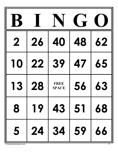|           |    |                             | $\overline{\mathbf{r}}$ |    |
|-----------|----|-----------------------------|-------------------------|----|
| 2         | 26 | 40                          | 48                      | 62 |
| 10        | 22 | 39                          | <b>47</b>               | 65 |
| <b>13</b> | 28 | <b>FREE</b><br><b>SPACE</b> | 56                      | 63 |
| 8         | 19 | 43                          | $\vert 51$              | 68 |
| 5         | 24 | 34                          | 59                      | 66 |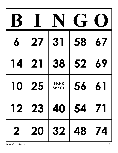| 6  | 27 | 31                          | 58 | 67 |
|----|----|-----------------------------|----|----|
| 14 | 21 | 38                          | 52 | 69 |
| 10 | 25 | <b>FREE</b><br><b>SPACE</b> | 56 | 61 |
|    |    | 12 23 40 54 71              |    |    |
|    |    | 2 20 32 48 74               |    |    |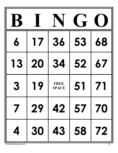| 6            | 17 | 36                          | 53       | 68 |
|--------------|----|-----------------------------|----------|----|
| <b>13</b>    | 20 | 34                          | 52       | 67 |
| 3            | 19 | <b>FREE</b><br><b>SPACE</b> | 51       |    |
| $\mathcal T$ | 29 |                             | 42 57 70 |    |
| 4            | 30 |                             | 43 58 72 |    |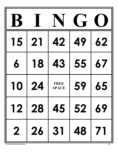| 15                      | 21 | 42                          | 49 | <b>62</b> |
|-------------------------|----|-----------------------------|----|-----------|
| 6                       | 18 | 43                          | 55 | 67        |
| 10                      | 24 | <b>FREE</b><br><b>SPACE</b> | 59 | 65        |
|                         |    | 12 28 45 52 69              |    |           |
| $\overline{\mathbf{2}}$ |    | 31   48                     |    | 71        |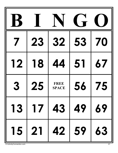|    | 23           | 32                          | 53    | 70 |
|----|--------------|-----------------------------|-------|----|
| 12 | 18           | 44                          | 51    | 67 |
| 3  | 25           | <b>FREE</b><br><b>SPACE</b> | 56    | 75 |
|    |              | 13   17   43   49   69      |       |    |
|    | $15 \mid 21$ |                             | 42 59 | 63 |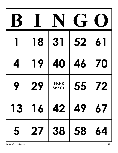|   | 18 | 31                          | 52 |    |
|---|----|-----------------------------|----|----|
|   | 19 | 40                          | 46 | 70 |
|   | 29 | <b>FREE</b><br><b>SPACE</b> | 55 | 72 |
|   |    | 13 16 42 49 67              |    |    |
| 5 |    | 27 38 58 64                 |    |    |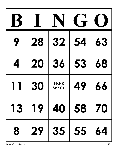| Q  | 28 | <b>32</b>                   | 54         | <b>63</b> |
|----|----|-----------------------------|------------|-----------|
|    | 20 | 36                          | 53         | 68        |
|    | 30 | <b>FREE</b><br><b>SPACE</b> | 49         | 66        |
| 13 | 19 | 40                          | 58 70      |           |
| 8  | 29 | 35                          | $\vert 55$ | 64        |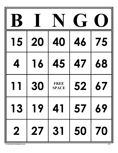|                         |              |                             | $\blacksquare$ |           |
|-------------------------|--------------|-----------------------------|----------------|-----------|
| 15                      | 20           | 40                          | 46             | 75        |
|                         | 16           | 45                          | 47             | 68        |
|                         | 30           | <b>FREE</b><br><b>SPACE</b> | 52             | <b>67</b> |
| 13                      | 19           | 41                          |                | 69        |
| $\overline{\mathbf{2}}$ | $\boxed{27}$ | 31                          | 50 70          |           |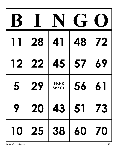|    | 28 | 41                          | 48 | 72 |
|----|----|-----------------------------|----|----|
| 12 | 22 | 45                          | 57 | 69 |
| 5  | 29 | <b>FREE</b><br><b>SPACE</b> | 56 | 61 |
| 9  |    | 20   43   51   73           |    |    |
|    |    | 10   25   38   60   70      |    |    |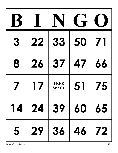| 3 | 22                      | <b>33</b>                   | 50 |    |
|---|-------------------------|-----------------------------|----|----|
| 8 | 26                      | 37                          | 47 | 66 |
|   | $\overline{\mathbf{1}}$ | <b>FREE</b><br><b>SPACE</b> | 57 | 75 |
|   |                         | 14 24 39 60 65              |    |    |
|   |                         | 5 29 36 46 72               |    |    |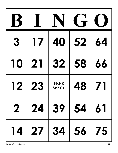| 3  | 17 | 40                          | 52 | 64 |
|----|----|-----------------------------|----|----|
| 10 | 21 | 32                          | 58 | 66 |
| 12 | 23 | <b>FREE</b><br><b>SPACE</b> | 48 |    |
|    |    | 2   24   39   54   61       |    |    |
|    |    | 14 27 34 56 75              |    |    |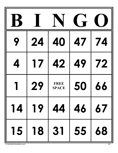| 24 | 40                          | 47 | 74                                         |
|----|-----------------------------|----|--------------------------------------------|
| 17 | 42                          | 49 | 72                                         |
| 29 | <b>FREE</b><br><b>SPACE</b> | 50 | 66                                         |
|    | 14 19 44 46                 |    | $\begin{array}{c c} \hline 67 \end{array}$ |
|    | 15 18 31 55 68              |    |                                            |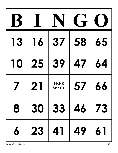| <b>13</b> | 16 | 37                          | 58 | 65 |
|-----------|----|-----------------------------|----|----|
| 10        | 25 | 39                          | 47 | 64 |
|           | 21 | <b>FREE</b><br><b>SPACE</b> | 57 | 66 |
| 8         |    | 30   33   46   73           |    |    |
| $\pmb{b}$ | 23 | $41 \mid 49$                |    | 61 |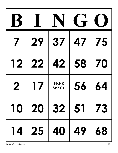|    |                 |                             | <b>I</b> - |    |
|----|-----------------|-----------------------------|------------|----|
|    | 29              | 37                          | 47         | 75 |
| 12 | 22              | 42                          | 58         | 70 |
| 2  | $\overline{17}$ | <b>FREE</b><br><b>SPACE</b> | 56         | 64 |
|    |                 | 10 20 32 51 73              |            |    |
|    |                 | 14   25   40   49           |            | 68 |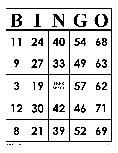|   | 24 | 40                          | 54 | 68        |
|---|----|-----------------------------|----|-----------|
|   | 27 | 33                          | 49 | 63        |
| 3 | 19 | <b>FREE</b><br><b>SPACE</b> | 57 | <b>62</b> |
|   |    | 12 30 42 46 71              |    |           |
| 8 |    | 21 39 52 69                 |    |           |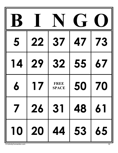| 5         | 22    | 37                          | 47           | <b>73</b> |
|-----------|-------|-----------------------------|--------------|-----------|
| <b>14</b> | 29    | <b>32</b>                   | 55           | 67        |
|           | 17    | <b>FREE</b><br><b>SPACE</b> | 50           | 70        |
|           | 7 26  |                             | 31   48   61 |           |
|           | 10 20 |                             | 44   53      | 65        |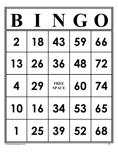|    |    |                             | $\blacksquare$                                    |    |
|----|----|-----------------------------|---------------------------------------------------|----|
| 2  | 18 | 43                          | 59                                                | 66 |
| 13 | 26 | 36                          | 48                                                | 72 |
|    | 29 | <b>FREE</b><br><b>SPACE</b> | 60                                                | 74 |
| 10 |    | 34                          | $\begin{array}{ c c c }\n\hline\n53\n\end{array}$ | 65 |
|    | 25 | 39                          | 52                                                | 68 |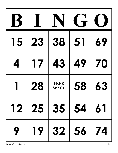| 15 | 23 | 38                          | 51 | 69        |
|----|----|-----------------------------|----|-----------|
|    | 17 | <b>43</b>                   | 49 | 70        |
|    | 28 | <b>FREE</b><br><b>SPACE</b> | 58 | <b>63</b> |
|    |    | 12 25 35 54 61              |    |           |
| 9  |    | 19 32 56 74                 |    |           |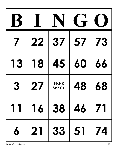|    | 22 | 37                          | 57 | <b>73</b> |
|----|----|-----------------------------|----|-----------|
| 13 | 18 | 45                          | 60 | 66        |
| 3  | 27 | <b>FREE</b><br><b>SPACE</b> | 48 | 68        |
|    |    | 11   16   38   46   71      |    |           |
| 6  |    | 21 33 51 74                 |    |           |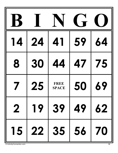| <u>  4</u>              | 24 | 41                          | 59 | 64 |
|-------------------------|----|-----------------------------|----|----|
| 8                       | 30 | 44                          | 47 | 75 |
|                         | 25 | <b>FREE</b><br><b>SPACE</b> | 50 | 69 |
| $\overline{\mathbf{2}}$ | 19 | 39                          | 49 | 62 |
| 15                      | 22 | 35 56                       |    | 70 |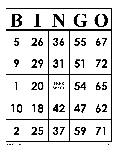| 5              | 26 | 36                          | 55 | 67 |
|----------------|----|-----------------------------|----|----|
|                | 29 | 31                          | 51 | 72 |
|                | 20 | <b>FREE</b><br><b>SPACE</b> | 54 | 65 |
|                |    | 10 18 42 47 62              |    |    |
| $\overline{2}$ |    | 25 37 59 71                 |    |    |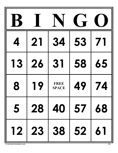|           | 21    | 34                          | 53    |    |
|-----------|-------|-----------------------------|-------|----|
| <b>13</b> | 26    | 31                          | 58    | 65 |
| 8         | 19    | <b>FREE</b><br><b>SPACE</b> | 49    | 74 |
| 5         |       | 28   40   57   68           |       |    |
|           | 12 23 |                             | 38 52 | 61 |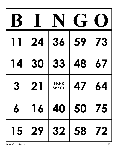|                |    |                             | $\blacksquare$ |    |
|----------------|----|-----------------------------|----------------|----|
|                | 24 | 36                          | 59             | 73 |
| 14             | 30 | 33                          | 48             | 67 |
| 3              | 21 | <b>FREE</b><br><b>SPACE</b> | 47             | 64 |
| $\overline{6}$ |    | 16 40 50 75                 |                |    |
|                |    | 15   29   32   58   72      |                |    |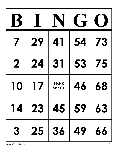|                         | 29 | 41                          | 54      | <b>73</b> |
|-------------------------|----|-----------------------------|---------|-----------|
| 2                       | 24 | 31                          | 53      | 75        |
| 10                      | 17 | <b>FREE</b><br><b>SPACE</b> | 46      | 68        |
| $14$                    | 23 |                             | 45   59 | 63        |
| $\overline{\mathbf{3}}$ | 25 | 36                          | 49      | 66        |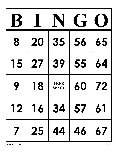| 8  | 20 | 35                          | 56 | 65 |
|----|----|-----------------------------|----|----|
| 15 | 27 | 39                          | 55 | 64 |
|    | 18 | <b>FREE</b><br><b>SPACE</b> | 60 | 72 |
|    |    | 12 16 34 57 61              |    |    |
|    |    | 7   25   44   46   67       |    |    |

© ActivityConnection.com 41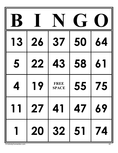| <b>13</b>   | 26 | <b>37</b>                   | 50 | 64 |
|-------------|----|-----------------------------|----|----|
| 5           | 22 | <b>43</b>                   | 58 | 61 |
|             | 19 | <b>FREE</b><br><b>SPACE</b> | 55 | 75 |
|             |    | 11 27 41 47 69              |    |    |
| $\mathbf 1$ |    | 20 32 51 74                 |    |    |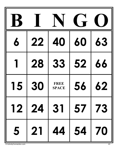| 6  | 22   | 40                          | 60       | <b>63</b> |
|----|------|-----------------------------|----------|-----------|
|    | 28   | 33                          | 52       | 66        |
| 15 | 30   | <b>FREE</b><br><b>SPACE</b> | 56       | <b>62</b> |
|    |      | 12 24 31 57 73              |          |           |
|    | 5 21 |                             | 44 54 70 |           |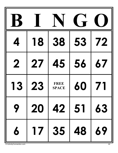|           | 18 | 38                          | 53           | 72 |
|-----------|----|-----------------------------|--------------|----|
| 2         | 27 | 45                          | 56           | 67 |
| <b>13</b> | 23 | <b>FREE</b><br><b>SPACE</b> | 60           |    |
| 9         | 20 |                             | 42 51 63     |    |
| 6         | 17 |                             | $35 \mid 48$ | 69 |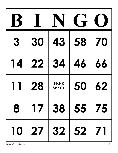|                 |    |                             | $\blacksquare$ |           |
|-----------------|----|-----------------------------|----------------|-----------|
| 3               | 30 | 43                          | 58             | 70        |
| $\overline{14}$ | 22 | 34                          | 46             | 66        |
|                 | 28 | <b>FREE</b><br><b>SPACE</b> | 50             | <b>62</b> |
| 8               | 17 |                             | 38   55   75   |           |
| 10              |    | 27 32 52                    |                | 71        |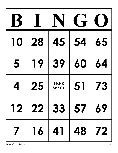| 10                      | 28   | 45                          | 54           | 65        |
|-------------------------|------|-----------------------------|--------------|-----------|
| 5                       | 19   | 39                          | 60           | 64        |
|                         | 25   | <b>FREE</b><br><b>SPACE</b> | 51           | <b>73</b> |
|                         |      | 12 22 33 57 69              |              |           |
| $\overline{\mathbf{z}}$ | $16$ |                             | 41   48   72 |           |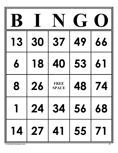| <b>13</b>   | 30 | 37                          | 49 | 66 |
|-------------|----|-----------------------------|----|----|
| 6           | 18 | 40                          | 53 |    |
| 8           | 26 | <b>FREE</b><br><b>SPACE</b> | 48 | 74 |
| $\mathbf 1$ |    | 24 34 56 68                 |    |    |
|             |    | 14 27 41 55 71              |    |    |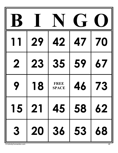|                         | 29 | 42                          | 47 | 70        |
|-------------------------|----|-----------------------------|----|-----------|
| $\mathbf 2$             | 23 | 35                          | 59 | 67        |
|                         | 18 | <b>FREE</b><br><b>SPACE</b> | 46 | <b>73</b> |
| 15                      |    | 21 45 58                    |    | 62        |
| $\overline{\mathbf{3}}$ | 20 | 36 53                       |    | 68        |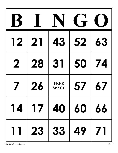| <b>12</b>   | 21 | 43                          | 52             | 63 |
|-------------|----|-----------------------------|----------------|----|
| $\mathbf 2$ | 28 | 31                          | 50             | 74 |
|             | 26 | <b>FREE</b><br><b>SPACE</b> | 57             | 67 |
|             |    |                             | 14 17 40 60 66 |    |
| 11          |    | 23 33 49                    |                | 71 |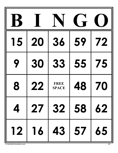| 15 | 20 | 36                          | 59 | 72 |
|----|----|-----------------------------|----|----|
| 9  | 30 | 33                          | 55 | 75 |
| 8  | 22 | <b>FREE</b><br><b>SPACE</b> | 48 | 70 |
|    |    | 4   27   32   58   62       |    |    |
|    |    | 12 16 43 57 65              |    |    |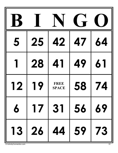|           |       |                             | $\blacksquare$ |              |
|-----------|-------|-----------------------------|----------------|--------------|
| 5         | 25    | 42                          | <b>47</b>      | 64           |
|           | 28    | 41                          | 49             | 61           |
| 12        | 19    | <b>FREE</b><br><b>SPACE</b> | 58             | 74           |
| $\pmb{b}$ | 17    |                             | 31   56        | 69           |
|           | 13 26 | 44 59                       |                | $\boxed{73}$ |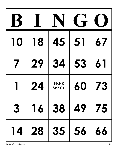|    |    |                             | $\blacksquare$                        |           |
|----|----|-----------------------------|---------------------------------------|-----------|
| 10 | 18 | 45                          | 51                                    | 67        |
|    | 29 | 34                          | 53                                    | 61        |
|    | 24 | <b>FREE</b><br><b>SPACE</b> | 60                                    | <b>73</b> |
| 3  | 16 | 38                          | $\begin{array}{c c} & 49 \end{array}$ | 75        |
| 14 | 28 | 35 56                       |                                       | 66        |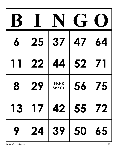|    |    |                             | $\blacksquare$ |    |
|----|----|-----------------------------|----------------|----|
| 6  | 25 | 37                          | 47             | 64 |
|    | 22 | 44                          | 52             |    |
| 8  | 29 | <b>FREE</b><br><b>SPACE</b> | 56             | 75 |
| 13 | 17 |                             | 42   55   72   |    |
| 9  | 24 | $39 50$                     |                | 65 |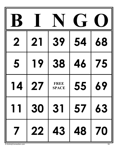| 2                       | 21 | 39                          | 54        | 68 |
|-------------------------|----|-----------------------------|-----------|----|
| 5                       | 19 | 38                          | <b>46</b> | 75 |
|                         | 27 | <b>FREE</b><br><b>SPACE</b> | 55        | 69 |
| $11$                    |    | 30 31 57 63                 |           |    |
| $\overline{\mathbf{z}}$ |    | 22   43   48   70           |           |    |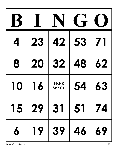|    |         |                             | $\blacksquare$                                     |           |
|----|---------|-----------------------------|----------------------------------------------------|-----------|
|    | 23      | 42                          | 53                                                 |           |
| 8  | 20      | 32                          | 48                                                 | 62        |
| 10 | 16      | <b>FREE</b><br><b>SPACE</b> | 54                                                 | <b>63</b> |
|    | 15   29 | 31                          | 51                                                 | 74        |
| 6  | 19      | 39                          | $\begin{array}{ c c }\n 46 \\ \hline\n\end{array}$ | 69        |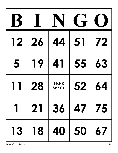| 12 | 26 | 44                          | 51 | 72 |
|----|----|-----------------------------|----|----|
| 5  | 19 | 41                          | 55 | 63 |
|    | 28 | <b>FREE</b><br><b>SPACE</b> | 52 | 64 |
|    |    | 1   21   36   47   75       |    |    |
|    |    | 13 18 40 50 67              |    |    |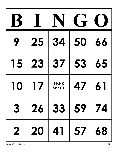|                |    |                             | $\blacksquare$ |    |
|----------------|----|-----------------------------|----------------|----|
| 9              | 25 | 34                          | 50             | 66 |
| 15             | 23 | 37                          | 53             | 65 |
| 10             | 17 | <b>FREE</b><br><b>SPACE</b> | 47             | 61 |
| 3              | 26 | 33                          | 59             | 74 |
| $\overline{2}$ | 20 | 41                          | $\boxed{57}$   | 68 |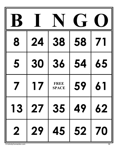| 8  | 24             | 38                          | 58       |    |
|----|----------------|-----------------------------|----------|----|
| 5  | 30             | 36                          | 54       | 65 |
|    | $\overline{1}$ | <b>FREE</b><br><b>SPACE</b> | 59       |    |
| 13 |                | 27 35 49                    |          | 62 |
|    | 2 29           |                             | 45 52 70 |    |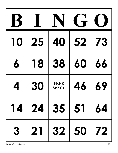| 10 | 25 | 40                          | 52 | <b>73</b> |
|----|----|-----------------------------|----|-----------|
| 6  | 18 | 38                          | 60 | 66        |
|    | 30 | <b>FREE</b><br><b>SPACE</b> | 46 | 69        |
|    |    | 14 24 35 51 64              |    |           |
|    |    | 3   21   32   50   72       |    |           |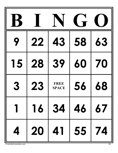| Q                       | 22          | <b>43</b>                   | 58 | 63 |
|-------------------------|-------------|-----------------------------|----|----|
| 15                      | 28          | 39                          | 60 | 70 |
| 3                       | <b>23</b>   | <b>FREE</b><br><b>SPACE</b> | 56 | 68 |
| 1                       |             | 16 34 46 67                 |    |    |
| $\overline{\mathbf{4}}$ | 20 41 55 74 |                             |    |    |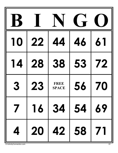| 10                       | 22        | 44                          | 46 |    |
|--------------------------|-----------|-----------------------------|----|----|
| $\overline{14}$          | 28        | 38                          | 53 | 72 |
| 3                        | <b>23</b> | <b>FREE</b><br><b>SPACE</b> | 56 | 70 |
| $\overline{\phantom{a}}$ |           | 16 34 54 69                 |    |    |
| $\overline{\mathbf{4}}$  |           | 20 42 58 71                 |    |    |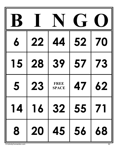| 6  | 22        | 44                          | 52    | 70        |
|----|-----------|-----------------------------|-------|-----------|
| 15 | 28        | 39                          | 57    | <b>73</b> |
| 5  | <b>23</b> | <b>FREE</b><br><b>SPACE</b> | 47    | <b>62</b> |
|    | 14 16     |                             | 32 55 | 71        |
| 8  | 20        |                             | 45 56 | 68        |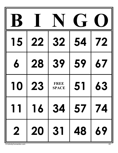| 15 | 22        | 32                          | 54           | 72        |
|----|-----------|-----------------------------|--------------|-----------|
| 6  | 28        | 39                          | 59           | 67        |
| 10 | <b>23</b> | <b>FREE</b><br><b>SPACE</b> | 51           | <b>63</b> |
|    |           | 11   16   34   57   74      |              |           |
|    | 2 20      |                             | 31   48   69 |           |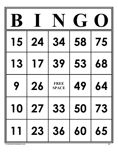| 15        | 24 | <b>34</b>                   | 58 | 75 |
|-----------|----|-----------------------------|----|----|
| <b>13</b> | 17 | 39                          | 53 | 68 |
|           | 26 | <b>FREE</b><br><b>SPACE</b> | 49 | 64 |
|           |    | 10   27   33   50   73      |    |    |
|           |    | 11   23   36   60   65      |    |    |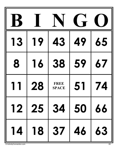| <b>13</b> | 19    | 43                          | 49          | 65        |
|-----------|-------|-----------------------------|-------------|-----------|
| 8         | 16    | 38                          | 59          | <b>67</b> |
|           | 28    | <b>FREE</b><br><b>SPACE</b> | 51          | 74        |
|           |       | 12 25 34 50 66              |             |           |
|           | 14 18 |                             | $37   46  $ | 63        |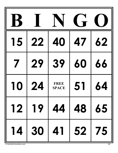|    |       |                             | $\blacksquare$ |    |
|----|-------|-----------------------------|----------------|----|
| 15 | 22    | 40                          | 47             | 62 |
|    | 29    | 39                          | 60             | 66 |
| 10 | 24    | <b>FREE</b><br><b>SPACE</b> | 51             | 64 |
|    |       | 12 19 44 48 65              |                |    |
|    | 14 30 |                             | 41   52   75   |    |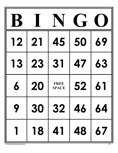|    |    |                             | $\blacksquare$ |                                            |
|----|----|-----------------------------|----------------|--------------------------------------------|
| 12 | 21 | 45                          | 50             | 69                                         |
| 13 | 23 | 31                          | 47             | 63                                         |
|    | 20 | <b>FREE</b><br><b>SPACE</b> | 52             | 61                                         |
| 9  |    | 30 32 46 64                 |                |                                            |
|    | 18 |                             | 41   48        | $\begin{array}{c c} \hline 67 \end{array}$ |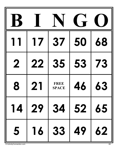|             |    | <b>37</b>                   | 50 | 68        |
|-------------|----|-----------------------------|----|-----------|
| $\mathbf 2$ | 22 | 35                          | 53 | 73        |
| 8           | 21 | <b>FREE</b><br><b>SPACE</b> | 46 | <b>63</b> |
|             |    | 14 29 34 52 65              |    |           |
| 5           |    | 16 33 49                    |    | 62        |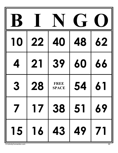|    |       |                             | 1 - |           |
|----|-------|-----------------------------|-----|-----------|
| 10 | 22    | 40                          | 48  | <b>62</b> |
|    | 21    | 39                          | 60  | 66        |
| 3  | 28    | <b>FREE</b><br><b>SPACE</b> | 54  |           |
|    |       | 17 38 51 69                 |     |           |
|    | 15 16 | $43 \mid 49$                |     | 71        |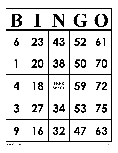| 6 | 23 | 43                          | 52 | 6  |
|---|----|-----------------------------|----|----|
|   | 20 | 38                          | 50 | 70 |
|   | 18 | <b>FREE</b><br><b>SPACE</b> | 59 | 72 |
| 3 |    | 27 34 53 75                 |    |    |
| 9 |    | 16 32 47                    |    | 63 |

© ActivityConnection.com 70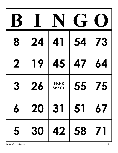| 8                | 24 | 41                          | 54      | 73 |
|------------------|----|-----------------------------|---------|----|
| $\mathbf 2$      | 19 | 45                          | 47      | 64 |
| 3                | 26 | <b>FREE</b><br><b>SPACE</b> | 55      | 75 |
| $\boldsymbol{6}$ | 20 |                             | 31   51 | 67 |
| 5                | 30 | 42 58                       |         | 71 |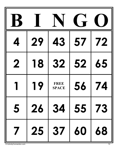|   | 29 | 43                          | 57           | 72 |
|---|----|-----------------------------|--------------|----|
| 2 | 18 | <b>32</b>                   | 52           | 65 |
|   | 19 | <b>FREE</b><br><b>SPACE</b> | 56           | 74 |
| 5 | 26 |                             | 34   55   73 |    |
|   | 25 |                             | $37   60$    | 68 |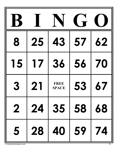| 8                       | 25        | 43                          | 57 | <b>62</b> |
|-------------------------|-----------|-----------------------------|----|-----------|
| 15                      | <b>17</b> | 36                          | 56 | 70        |
| 3                       | 21        | <b>FREE</b><br><b>SPACE</b> | 53 | 67        |
| $\overline{\mathbf{2}}$ | 24        | 35 58                       |    | 68        |
| 5                       | 28        | 40                          | 59 | 74        |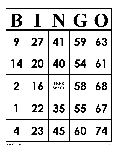| $\bullet$   | 27        | 41                          | 59 | 63 |
|-------------|-----------|-----------------------------|----|----|
| 14          | 20        | 40                          | 54 | 61 |
| 2           | <b>16</b> | <b>FREE</b><br><b>SPACE</b> | 58 | 68 |
| $\mathbf 1$ |           | 22 35 55 67                 |    |    |
| 4           |           | 23   45   60   74           |    |    |